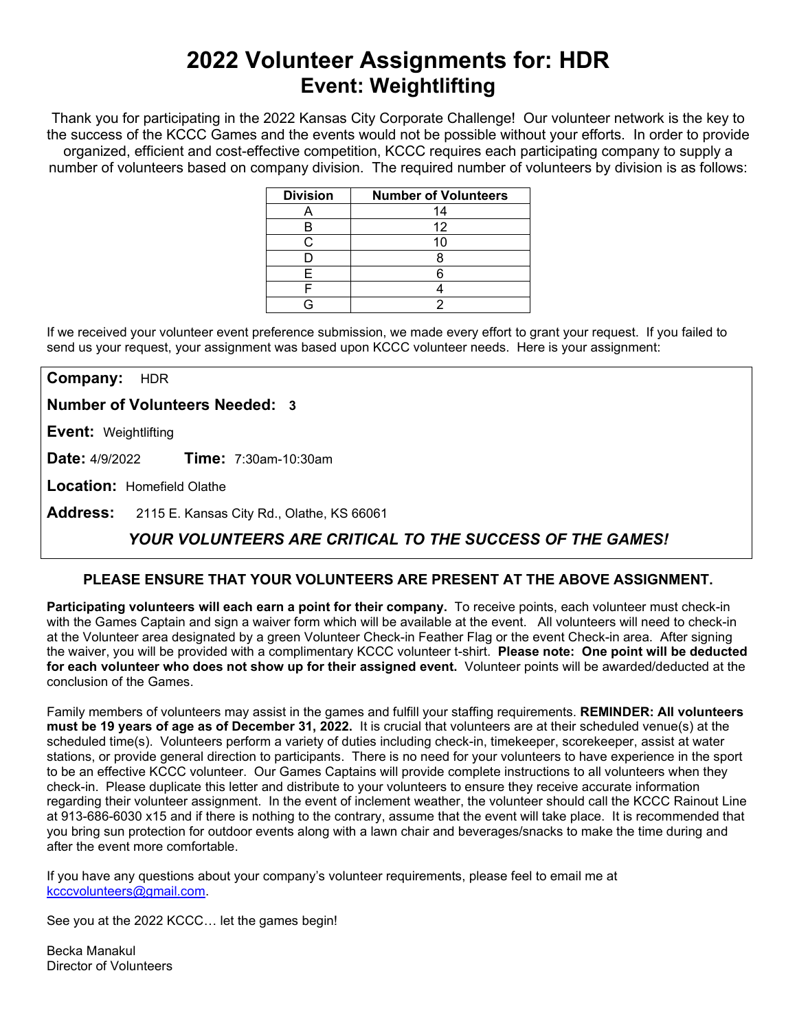# **2022 Volunteer Assignments for: HDR Event: Weightlifting**

Thank you for participating in the 2022 Kansas City Corporate Challenge! Our volunteer network is the key to the success of the KCCC Games and the events would not be possible without your efforts.In order to provide organized, efficient and cost-effective competition, KCCC requires each participating company to supply a number of volunteers based on company division. The required number of volunteers by division is as follows:

| <b>Division</b> | <b>Number of Volunteers</b> |
|-----------------|-----------------------------|
|                 | 14                          |
|                 | 12                          |
|                 |                             |
|                 |                             |
|                 |                             |
|                 |                             |
|                 |                             |

If we received your volunteer event preference submission, we made every effort to grant your request. If you failed to send us your request, your assignment was based upon KCCC volunteer needs. Here is your assignment:

**Company:** HDR

**Number of Volunteers Needed: 3**

**Event:** Weightlifting

**Date:** 4/9/2022 **Time:** 7:30am-10:30am

**Location:** Homefield Olathe

**Address:** 2115 E. Kansas City Rd., Olathe, KS 66061

## *YOUR VOLUNTEERS ARE CRITICAL TO THE SUCCESS OF THE GAMES!*

### **PLEASE ENSURE THAT YOUR VOLUNTEERS ARE PRESENT AT THE ABOVE ASSIGNMENT.**

**Participating volunteers will each earn a point for their company.** To receive points, each volunteer must check-in with the Games Captain and sign a waiver form which will be available at the event. All volunteers will need to check-in at the Volunteer area designated by a green Volunteer Check-in Feather Flag or the event Check-in area. After signing the waiver, you will be provided with a complimentary KCCC volunteer t-shirt. **Please note: One point will be deducted for each volunteer who does not show up for their assigned event.** Volunteer points will be awarded/deducted at the conclusion of the Games.

Family members of volunteers may assist in the games and fulfill your staffing requirements. **REMINDER: All volunteers must be 19 years of age as of December 31, 2022.** It is crucial that volunteers are at their scheduled venue(s) at the scheduled time(s). Volunteers perform a variety of duties including check-in, timekeeper, scorekeeper, assist at water stations, or provide general direction to participants. There is no need for your volunteers to have experience in the sport to be an effective KCCC volunteer. Our Games Captains will provide complete instructions to all volunteers when they check-in. Please duplicate this letter and distribute to your volunteers to ensure they receive accurate information regarding their volunteer assignment. In the event of inclement weather, the volunteer should call the KCCC Rainout Line at 913-686-6030 x15 and if there is nothing to the contrary, assume that the event will take place. It is recommended that you bring sun protection for outdoor events along with a lawn chair and beverages/snacks to make the time during and after the event more comfortable.

If you have any questions about your company's volunteer requirements, please feel to email me at [kcccvolunteers@gmail.com.](mailto:kcccvolunteers@gmail.com)

See you at the 2022 KCCC… let the games begin!

Becka Manakul Director of Volunteers